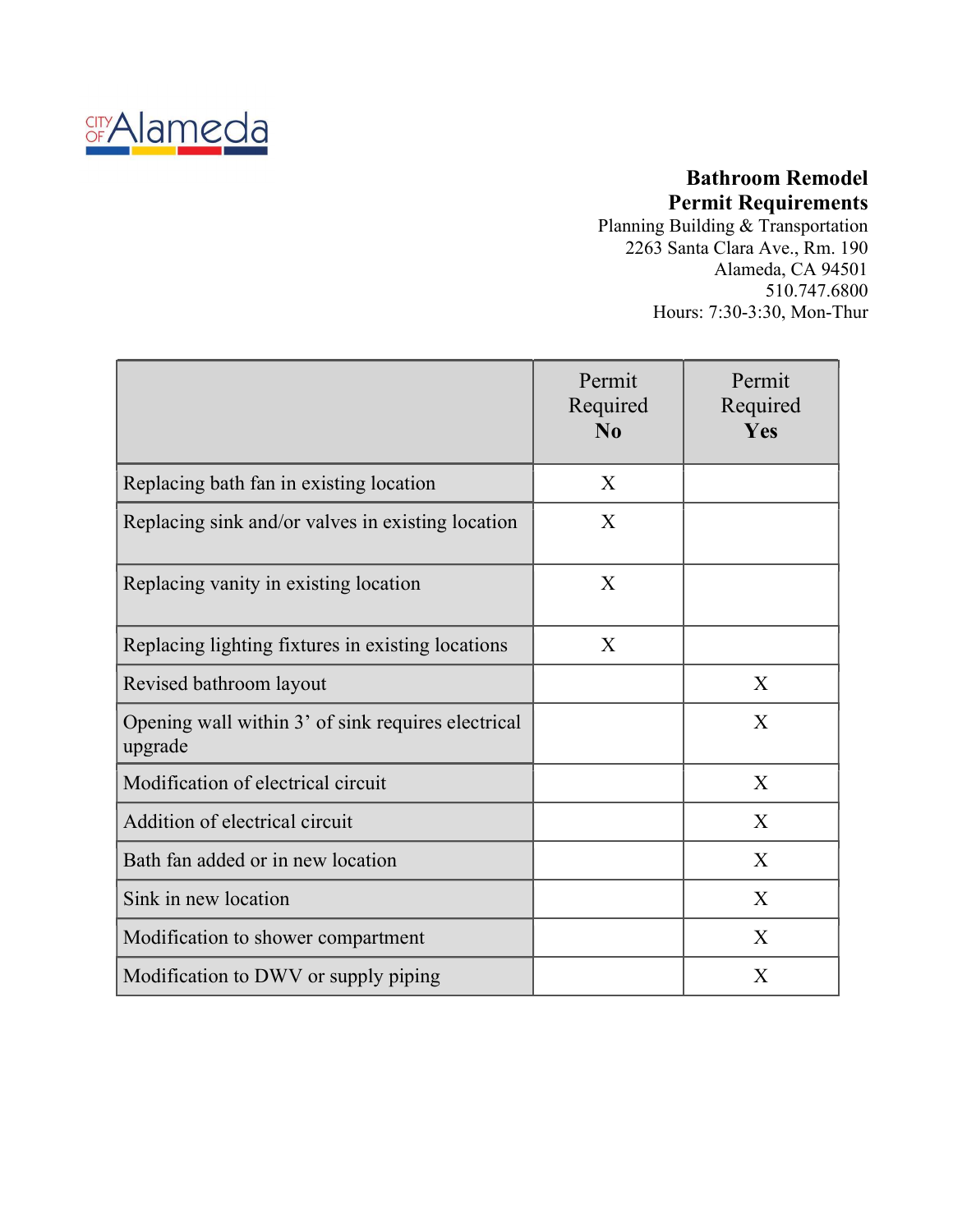

## Bathroom Remodel Permit Requirements

Planning Building & Transportation 2263 Santa Clara Ave., Rm. 190 Alameda, CA 94501 510.747.6800 Hours: 7:30-3:30, Mon-Thur

|                                                               | Permit<br>Required<br>N <sub>0</sub> | Permit<br>Required<br><b>Yes</b> |
|---------------------------------------------------------------|--------------------------------------|----------------------------------|
| Replacing bath fan in existing location                       | X                                    |                                  |
| Replacing sink and/or valves in existing location             | X                                    |                                  |
| Replacing vanity in existing location                         | X                                    |                                  |
| Replacing lighting fixtures in existing locations             | X                                    |                                  |
| Revised bathroom layout                                       |                                      | X                                |
| Opening wall within 3' of sink requires electrical<br>upgrade |                                      | X                                |
| Modification of electrical circuit                            |                                      | X                                |
| Addition of electrical circuit                                |                                      | X                                |
| Bath fan added or in new location                             |                                      | X                                |
| Sink in new location                                          |                                      | X                                |
| Modification to shower compartment                            |                                      | X                                |
| Modification to DWV or supply piping                          |                                      | X                                |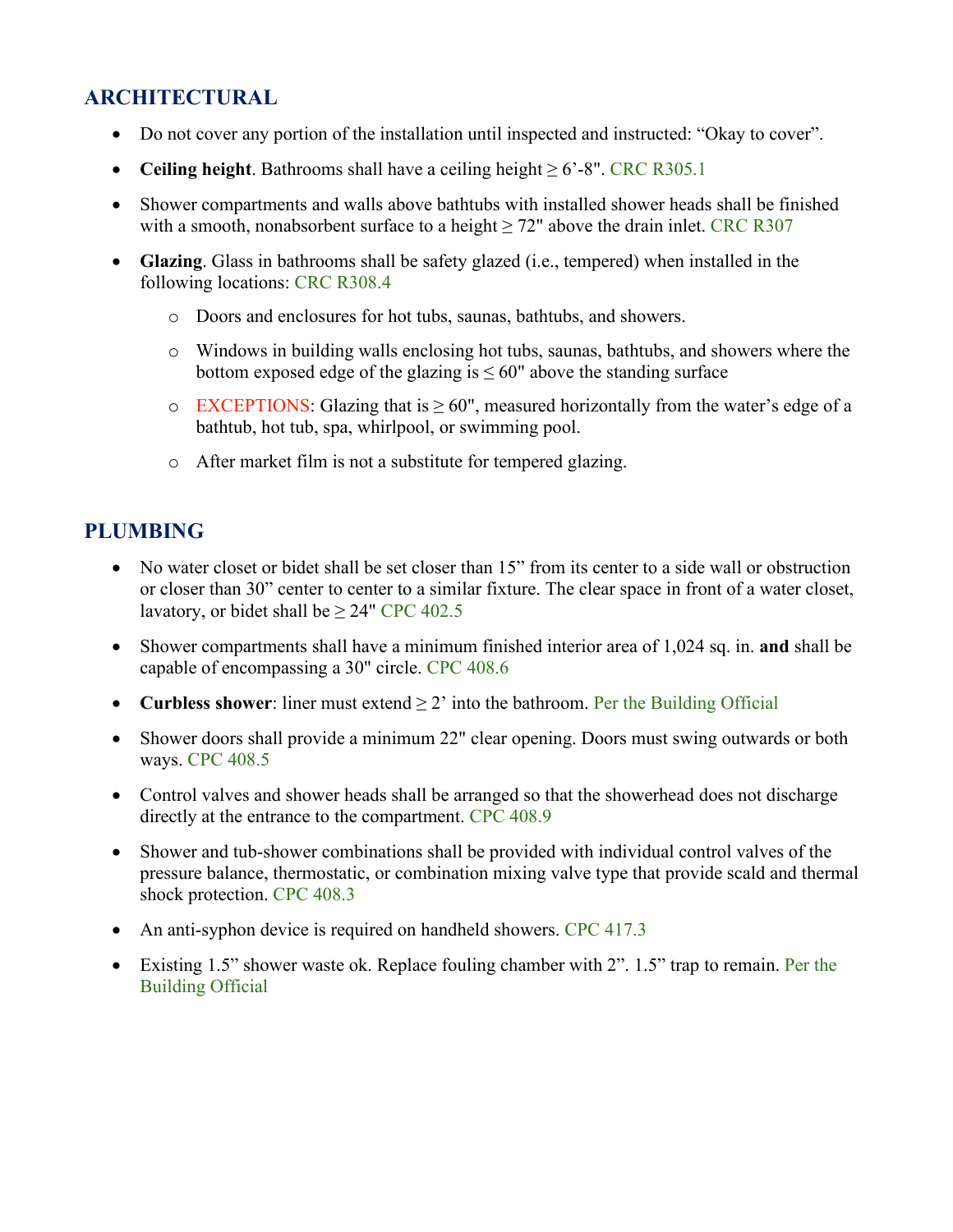# ARCHITECTURAL

- Do not cover any portion of the installation until inspected and instructed: "Okay to cover".
- Ceiling height. Bathrooms shall have a ceiling height  $\geq 6'$ -8". CRC R305.1
- Shower compartments and walls above bathtubs with installed shower heads shall be finished with a smooth, nonabsorbent surface to a height  $\geq$  72" above the drain inlet. CRC R307
- Glazing. Glass in bathrooms shall be safety glazed (i.e., tempered) when installed in the following locations: CRC R308.4
	- o Doors and enclosures for hot tubs, saunas, bathtubs, and showers.
	- o Windows in building walls enclosing hot tubs, saunas, bathtubs, and showers where the bottom exposed edge of the glazing is  $\leq 60$ " above the standing surface
	- o EXCEPTIONS: Glazing that is  $\geq 60$ ", measured horizontally from the water's edge of a bathtub, hot tub, spa, whirlpool, or swimming pool.
	- o After market film is not a substitute for tempered glazing.

#### PLUMBING

- No water closet or bidet shall be set closer than 15" from its center to a side wall or obstruction or closer than 30" center to center to a similar fixture. The clear space in front of a water closet, lavatory, or bidet shall be  $\geq$  24" CPC 402.5
- Shower compartments shall have a minimum finished interior area of 1,024 sq. in. and shall be capable of encompassing a 30" circle. CPC 408.6
- Curbless shower: liner must extend  $\geq 2$  into the bathroom. Per the Building Official
- Shower doors shall provide a minimum 22" clear opening. Doors must swing outwards or both ways. CPC 408.5
- Control valves and shower heads shall be arranged so that the showerhead does not discharge directly at the entrance to the compartment. CPC 408.9
- Shower and tub-shower combinations shall be provided with individual control valves of the pressure balance, thermostatic, or combination mixing valve type that provide scald and thermal shock protection. CPC 408.3
- An anti-syphon device is required on handheld showers. CPC 417.3
- Existing 1.5" shower waste ok. Replace fouling chamber with 2". 1.5" trap to remain. Per the Building Official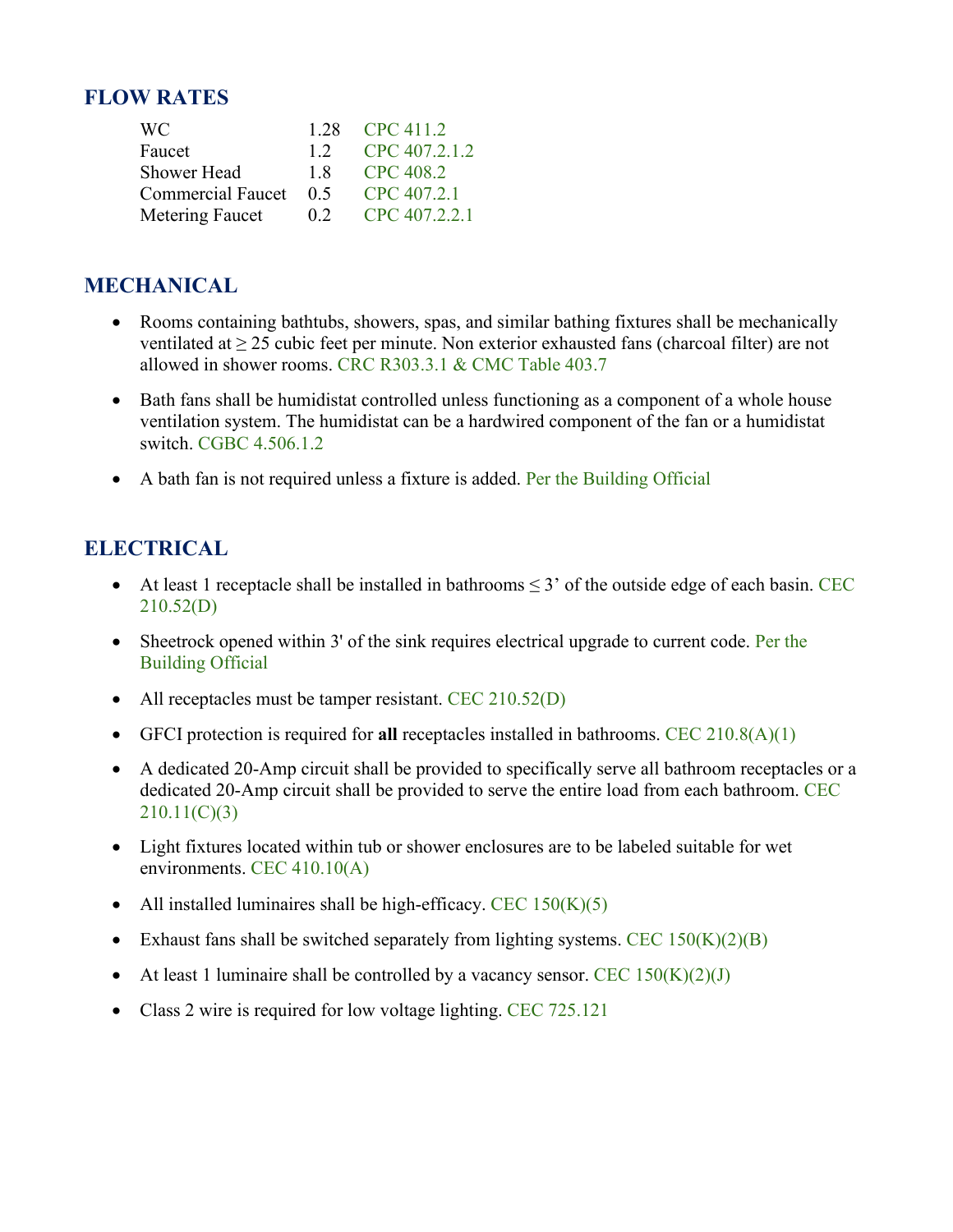#### FLOW RATES

| WC.                               | 1.28 CPC 411.2            |
|-----------------------------------|---------------------------|
| Faucet                            | $1.2 \quad$ CPC 407.2.1.2 |
| Shower Head 1.8 CPC 408.2         |                           |
| Commercial Faucet 0.5 CPC 407.2.1 |                           |
| Metering Faucet 0.2 CPC 407.2.2.1 |                           |

## MECHANICAL

- Rooms containing bathtubs, showers, spas, and similar bathing fixtures shall be mechanically ventilated at  $\geq$  25 cubic feet per minute. Non exterior exhausted fans (charcoal filter) are not allowed in shower rooms. CRC R303.3.1 & CMC Table 403.7
- Bath fans shall be humidistat controlled unless functioning as a component of a whole house ventilation system. The humidistat can be a hardwired component of the fan or a humidistat switch. CGBC 4.506.1.2
- A bath fan is not required unless a fixture is added. Per the Building Official

## ELECTRICAL

- At least 1 receptacle shall be installed in bathrooms  $\leq$  3' of the outside edge of each basin. CEC 210.52(D)
- Sheetrock opened within 3' of the sink requires electrical upgrade to current code. Per the Building Official
- All receptacles must be tamper resistant. CEC  $210.52(D)$
- GFCI protection is required for all receptacles installed in bathrooms. CEC  $210.8(A)(1)$
- A dedicated 20-Amp circuit shall be provided to specifically serve all bathroom receptacles or a dedicated 20-Amp circuit shall be provided to serve the entire load from each bathroom. CEC 210.11(C)(3)
- Light fixtures located within tub or shower enclosures are to be labeled suitable for wet environments. CEC 410.10(A)
- All installed luminaires shall be high-efficacy. CEC  $150(K)(5)$
- Exhaust fans shall be switched separately from lighting systems. CEC  $150(K)(2)(B)$
- At least 1 luminaire shall be controlled by a vacancy sensor. CEC  $150(K)(2)(J)$
- Class 2 wire is required for low voltage lighting. CEC 725.121